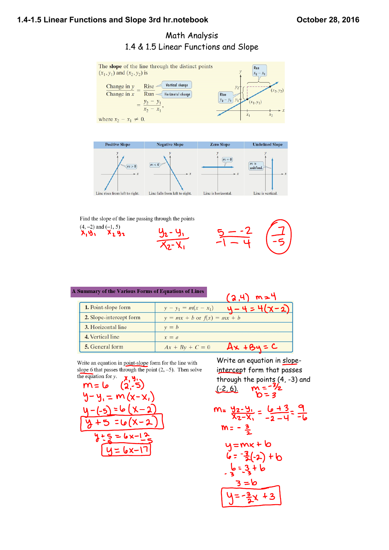# **1.41.5 Linear Functions and Slope 3rd hr.notebook October 28, 2016**

# Math Analysis 1.4 & 1.5 Linear Functions and Slope



#### A Summary of the Various Forms of Equations of Lines

| Summary of the various Forms of Equations of Lines | (2, 4)<br>$m=4$                            |
|----------------------------------------------------|--------------------------------------------|
| 1. Point-slope form                                | $4 - 4 = 4(x-2)$<br>$y - y_1 = m(x - x_1)$ |
| 2. Slope-intercept form                            | $y = mx + b$ or $f(x) = mx + b$            |
| 3. Horizontal line                                 | $v = b$                                    |
| 4. Vertical line                                   | $x = a$                                    |
| 5. General form                                    | $Ax + By = C$<br>$Ax + By + C = 0$         |

Write an equation in point-slope form for the line with slope 6 that passes through the point  $(2, -5)$ . Then solve the equation for  $\nu$ .



Write an equation in slopeintercept form that passes through the points (4, -3) and<br>(-2, 6).  $M = \frac{3}{2}$  $(-2, 6)$ .  $= 3$ 

$$
m = \frac{y_2 - y_1}{x_2 - x_1} = \frac{b + 3}{-2 - 4} = \frac{9}{-b}
$$
  
\n
$$
m = -\frac{3}{2}
$$
  
\n
$$
y = mx + b
$$
  
\n
$$
b = -\frac{3}{2}(-2) + b
$$
  
\n
$$
b = -\frac{3}{2}(2) + b
$$
  
\n
$$
3 = b
$$
  
\n
$$
y = -\frac{3}{2}x + 3
$$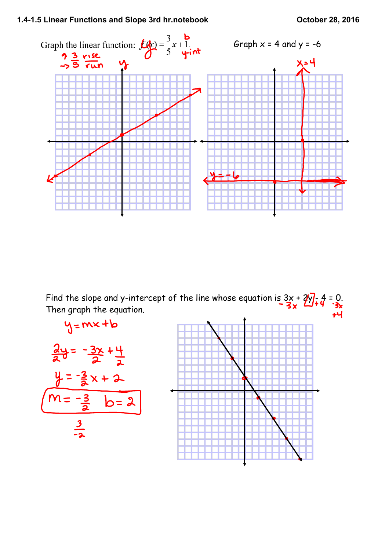

Find the slope and y-intercept of the line whose equation is  $3x + 2y - 4 = 0$ . Then graph the equation.tЧ

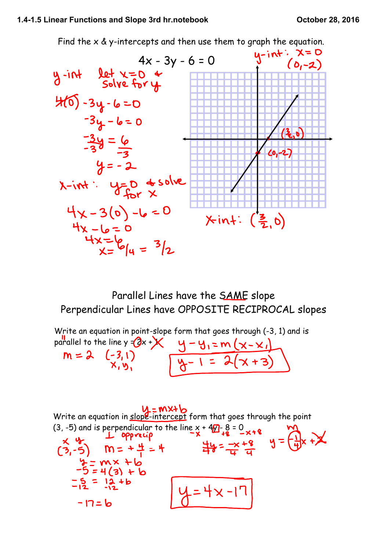

Parallel Lines have the SAME slope Perpendicular Lines have OPPOSITE RECIPROCAL slopes

Write an equation in point-slope form that goes through (-3, 1) and is parallel to the line y = (3x + )<br>  $M = 2$  (-3, 1)<br>  $N, y,$ <br>  $Q = 1 = 2(y + 3)$ 

 $W = W \times W$ <br>Write an equation in slope-intercept form that goes through the point (3, -5) and is perpendicular to the line  $x + 4/2 - 8 = 0$ <br>  $\times 4/2 - 5$ <br>  $\times 6/2 - 5$ <br>  $\times 6/2 - 5$ <br>  $\times 6/2 - 5$ <br>  $\times 6/2 - 5$ <br>  $\times 6/2 - 5$ <br>  $\times 6/2 - 5$ <br>  $\times 6/2 - 5$ <br>  $\times 6/2 - 5$ <br>  $\times 6/2 - 5$ <br>  $\times 6/2 - 5$ <br>  $\times 6/2 - 5$ <br>  $\times 6/2 4 = mx + b$ <br>-5 = 4 (3) + b  $-5 = 12 + b$  $4 = 4 \times -17$  $-17=6$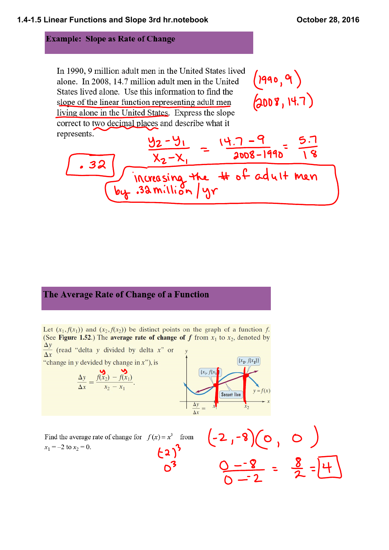### **Example: Slope as Rate of Change**

In 1990, 9 million adult men in the United States lived alone. In 2008, 14.7 million adult men in the United States lived alone. Use this information to find the slope of the linear function representing adult men living alone in the United States. Express the slope correct to two decimal places and describe what it re

$$
\frac{y_{2}-y_{1}}{\sqrt{32}} = \frac{(4.7-9)}{2008-1990} = \frac{5.7}{18}
$$
  
Answerasing the # of adult men

# The Average Rate of Change of a Function

Let  $(x_1, f(x_1))$  and  $(x_2, f(x_2))$  be distinct points on the graph of a function f. (See Figure 1.52.) The average rate of change of f from  $x_1$  to  $x_2$ , denoted by  $\frac{\Delta y}{\Delta x}$  (read "delta y divided by delta x" or "change in y devided by change in  $x$ "), is

$$
\frac{\Delta y}{\Delta x} = \frac{f(x_2) - f(x_1)}{x_2 - x_1}.
$$

y  
\n
$$
(x_1, f(x_1))
$$
\n
$$
(x_2, f(x_2))
$$
\n
$$
y = f(x)
$$
\n
$$
y = f(x)
$$
\n
$$
x_2
$$

Find the average rate of change for  $f(x) = x^3$  from  $x_1 = -2$  to  $x_2 = 0$ .

 $(-2, -8)(0, 0)$ <br> $0 - 8 = \frac{8}{2} = 14$